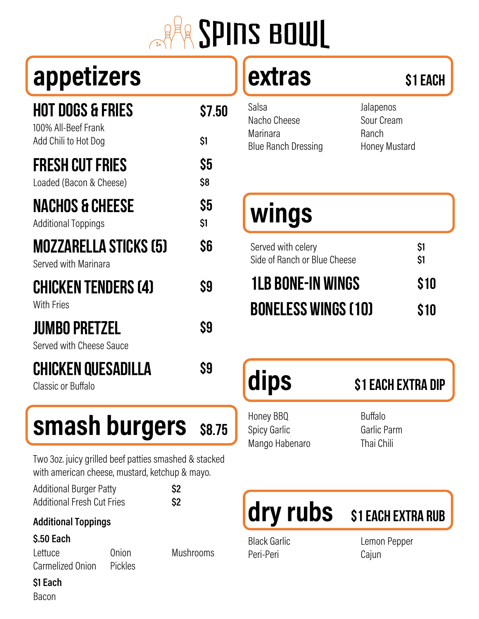# **ARE SPINS BOWL**

## appetizers

| <b>HOT DOGS &amp; FRIES</b><br>100% All-Beef Frank              | S7.50      |
|-----------------------------------------------------------------|------------|
| Add Chili to Hot Dog                                            | \$1        |
| <b>FRESH CUT FRIES</b><br>Loaded (Bacon & Cheese)               | \$5<br>\$8 |
| <b>NACHOS &amp; CHEESE</b><br><b>Additional Toppings</b>        | \$5<br>\$1 |
| MOZZARELLA STICKS (5)<br>Served with Marinara                   | \$6        |
| <b>CHICKEN TENDERS (4)</b><br><b>With Fries</b>                 | \$9        |
| <b>JUMBO PRETZEL</b><br>Served with Cheese Sauce                | \$9        |
| <b>CHICKEN QUESADILLA</b><br>$\sim$ $\sim$ $\sim$ $\sim$ $\sim$ | Sg         |

Classic or Buffalo

### **smash burgers** \$8.75

Two 3oz. juicy grilled beef patties smashed & stacked with american cheese, mustard, ketchup & mayo.

| <b>Additional Burger Patty</b>    |  |
|-----------------------------------|--|
| <b>Additional Fresh Cut Fries</b> |  |

#### **Additional Toppings**

#### \$.50 Each

Lettuce Carmelized Onion

Onion **Pickles**  **Mushrooms** 

 $$2$  $$2$ 

### extras

| <b>Blue Ranch Dressing</b> |
|----------------------------|
|                            |

Jalapenos Sour Cream Ranch Honey Mustard

\$1 Each

## wings

| Served with celery<br>Side of Ranch or Blue Cheese | S1<br>\$1 |
|----------------------------------------------------|-----------|
| <b>1LB BONE-IN WINGS</b>                           | \$10      |
| <b>BONELESS WINGS (10)</b>                         | \$10      |

## dips

#### **\$1 EACH EXTRA DIP**

Honey BBQ Buffalo Spicy Garlic Mango Habenaro

Garlic Parm Thai Chili



**Black Garlic** Peri-Peri

Lemon Pepper Cajun

**S1 EACH EXTRA RUB** 

\$1 Each

**Bacon**